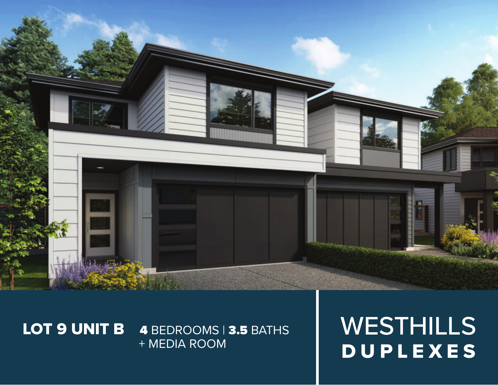

## LOT 9 UNIT B 4 BEDROOMS | 3.5 BATHS + MEDIA ROOM

WESTHILLS DUPLEXES